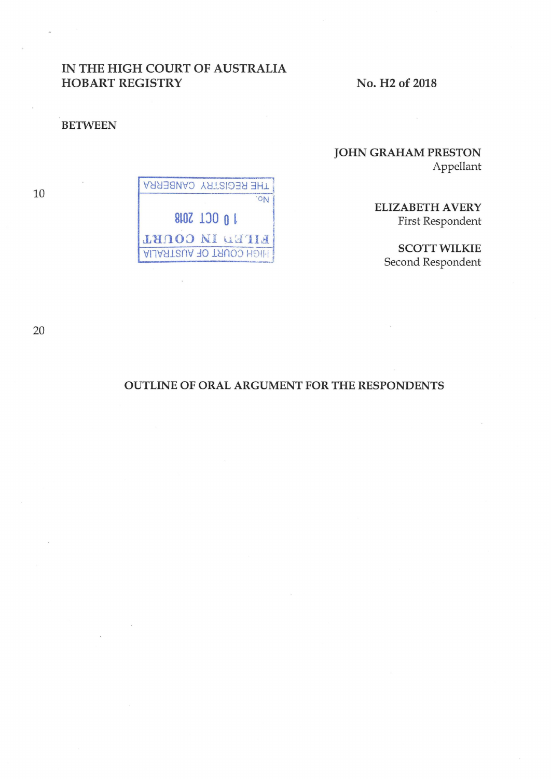## IN THE HIGH COURT OF AUSTRALIA HOBART REGISTRY

No. H2 of 2018

#### BETWEEN

# JOHN GRAHAM PRESTON Appellant

ELIZABETH AVERY First Respondent

SCOTT WILKIE Second Respondent

10

| THE REGISTRY CANBERRA           |
|---------------------------------|
| <b>CON</b>                      |
| 10 0CL 2018                     |
| FILEN IN COURT                  |
| <b>ALLASTICIA FO TRUSTRALIA</b> |

20

## OUTLINE OF ORAL ARGUMENT FOR THE RESPONDENTS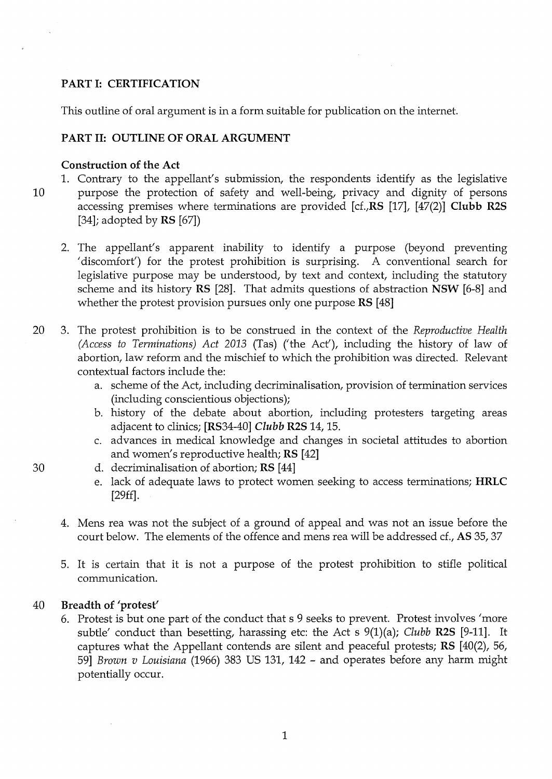## **PART I: CERTIFICATION**

This outline of oral argument is in a form suitable for publication on the internet.

#### **PART II: OUTLINE OF ORAL ARGUMENT**

#### **Construction of the Act**

- 1. Contrary to the appellant's submission, the respondents identify as the legislative 10 purpose the protection of safety and well-being, privacy and dignity of persons accessing premises where terminations are provided **[cf.,RS** [17], [47(2)] **Clubb R2S**  [34]; adopted by **RS** [67])
	- 2. The appellant's apparent inability to identify a purpose (beyond preventing 'discomfort') for the protest prohibition is surprising. A conventional search for legislative purpose may be understood, by text and context, including the statutory scheme and its history **RS** [28]. That admits questions of abstraction **NSW** [6-8] and whether the protest provision pursues only one purpose **RS** [48]
- 20 3. The protest prohibition is to be construed in the context of the *Reproductive Health (Access to Terminations) Act 2013* (Tas) ('the Act'), including the history of law of abortion, law reform and the mischief to which the prohibition was directed. Relevant contextual factors include the:
	- a. scheme of the Act, including decriminalisation, provision of termination services (including conscientious objections);
	- b. history of the debate about abortion, including protesters targeting areas adjacent to clinics; [RS34-40] *Clubb* **R2S** 14, 15.
	- c. advances in medical knowledge and changes in societal attitudes to abortion and women's reproductive health; **RS** [42]
- 30 d. decriminalisation of abortion; **RS** [44]
	- e. lack of adequate laws to protect women seeking to access terminations; **HRLC**  [29ff].
	- 4. Mens rea was not the subject of a ground of appeal and was not an issue before the court below. The elements of the offence and mens rea will be addressed cf., **AS** 35,37
	- 5. It is certain that it is not a purpose of the protest prohibition to stifle political communication.

#### 40 **Breadth of 'protest'**

6. Protest is but one part of the conduct that s 9 seeks to prevent. Protest involves 'more subtle' conduct than besetting, harassing etc: the Act s 9(1)(a); *Clubb* **R2S** [9-11]. It captures what the Appellant contends are silent and peaceful protests; **RS** [40(2), 56, 59] *Brown v Louisiana* (1966) 383 US 131, 142 - and operates before any harm might potentially occur.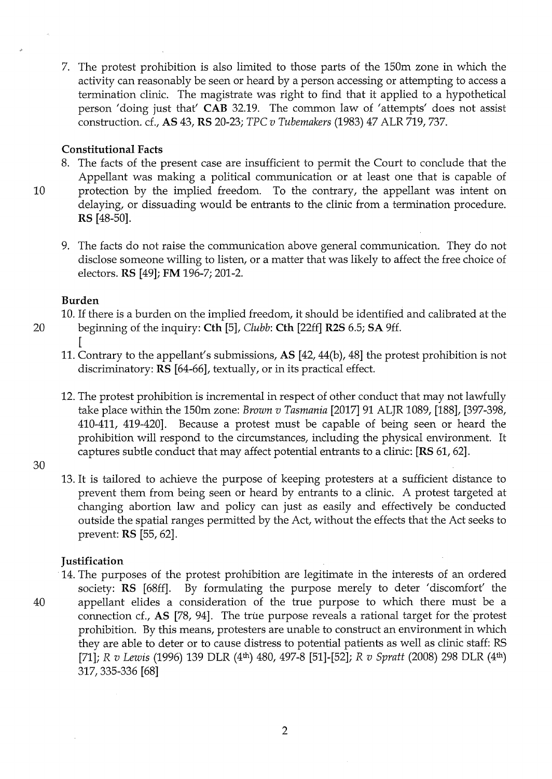7. The protest prohibition is also limited to those parts of the 150m zone in which the activity can reasonably be seen or heard by a person accessing or attempting to access a termination clinic. The magistrate was right to find that it applied to a hypothetical person 'doing just that' **CAB** 32.19. The common law of 'attempts' does not assist construction. cf., **AS** 43, **RS** 20-23; *TPC v Tubemakers* (1983) 47 ALR 719, 737.

#### **Constitutional Facts**

- 8. The facts of the present case are insufficient to permit the Court to conclude that the Appellant was making a political communication or at least one that is capable of
- 10 protection by the implied freedom. To the contrary, the appellant was intent on delaying, or dissuading would be entrants to the clinic from a termination procedure. **RS** [48-50].
	- 9. The facts do not raise the communication above general communication. They do not disclose someone willing to listen, or a matter that was likely to affect the free choice of electors. **RS** [49]; **FM** 196-7; 201-2.

#### **Burden**

- 10. If there is a burden on the implied freedom, it should be identified and calibrated at the
- 
- 20 beginning of the inquiry: **Cth** [5], *Clubb:* **Cth** [22ff] **R2S** 6.5; **SA** 9ff. [ 11. Contrary to the appellant's submissions, **AS** [42,44(b), 48] the protest prohibition is not
	- discriminatory: **RS** [64-66], textually, or in its practical effect.
	- 12. The protest prohibition is incremental in respect of other conduct that may not lawfully take place within the 150m zone: *Brown v Tasmania* [2017] 91 ALJR 1089, [188], [397-398, 410-411, 419-420]. Because a protest must be capable of being seen or heard the prohibition will respond to the circumstances, including the physical environment. It captures subtle conduct that may affect potential entrants to a clinic: **[RS** 61, 62].
- 30
- 13. It is tailored to achieve the purpose of keeping protesters at a sufficient distance to prevent them from being seen or heard by entrants to a clinic. A protest targeted at changing abortion law and policy can just as easily and effectively be conducted outside the spatial ranges permitted by the Act, without the effects that the Act seeks to prevent: **RS** [55, 62].

### **Justification**

14. The purposes of the protest prohibition are legitimate in the interests of an ordered society: **RS** [68ff]. By formulating the purpose merely to deter 'discomfort' the 40 appellant elides a consideration of the true purpose to which there must be a connection cf., **AS** [78, 94]. The true purpose reveals a rational target for the protest prohibition. By this means, protesters are unable to construct an environment in which they are able to deter or to cause distress to potential patients as well as clinic staff: RS [71]; *R v Lewis* (1996) 139 DLR (4th) 480, 497-8 [51]-[52]; *R v Spratt* (2008) 298 DLR (4th) 317, 335-336 [68]